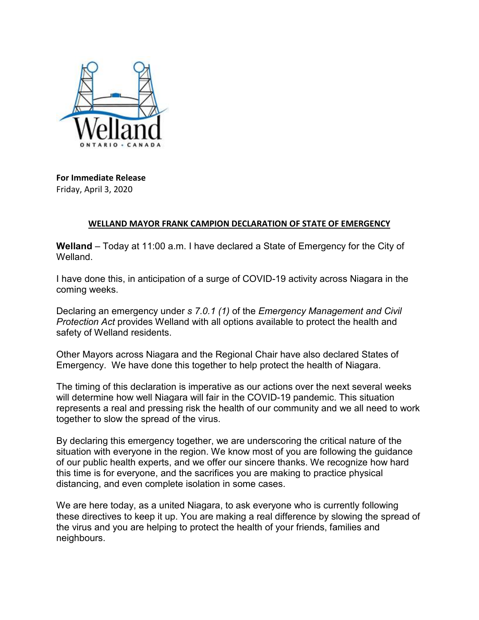

**For Immediate Release** Friday, April 3, 2020

## **WELLAND MAYOR FRANK CAMPION DECLARATION OF STATE OF EMERGENCY**

**Welland** – Today at 11:00 a.m. I have declared a State of Emergency for the City of Welland.

I have done this, in anticipation of a surge of COVID-19 activity across Niagara in the coming weeks.

Declaring an emergency under *s 7.0.1 (1)* of the *Emergency Management and Civil Protection Act* provides Welland with all options available to protect the health and safety of Welland residents.

Other Mayors across Niagara and the Regional Chair have also declared States of Emergency. We have done this together to help protect the health of Niagara.

The timing of this declaration is imperative as our actions over the next several weeks will determine how well Niagara will fair in the COVID-19 pandemic. This situation represents a real and pressing risk the health of our community and we all need to work together to slow the spread of the virus.

By declaring this emergency together, we are underscoring the critical nature of the situation with everyone in the region. We know most of you are following the guidance of our public health experts, and we offer our sincere thanks. We recognize how hard this time is for everyone, and the sacrifices you are making to practice physical distancing, and even complete isolation in some cases.

We are here today, as a united Niagara, to ask everyone who is currently following these directives to keep it up. You are making a real difference by slowing the spread of the virus and you are helping to protect the health of your friends, families and neighbours.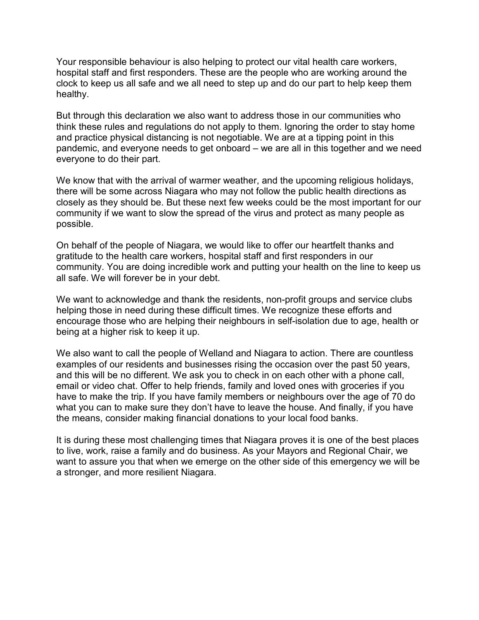Your responsible behaviour is also helping to protect our vital health care workers, hospital staff and first responders. These are the people who are working around the clock to keep us all safe and we all need to step up and do our part to help keep them healthy.

But through this declaration we also want to address those in our communities who think these rules and regulations do not apply to them. Ignoring the order to stay home and practice physical distancing is not negotiable. We are at a tipping point in this pandemic, and everyone needs to get onboard – we are all in this together and we need everyone to do their part.

We know that with the arrival of warmer weather, and the upcoming religious holidays, there will be some across Niagara who may not follow the public health directions as closely as they should be. But these next few weeks could be the most important for our community if we want to slow the spread of the virus and protect as many people as possible.

On behalf of the people of Niagara, we would like to offer our heartfelt thanks and gratitude to the health care workers, hospital staff and first responders in our community. You are doing incredible work and putting your health on the line to keep us all safe. We will forever be in your debt.

We want to acknowledge and thank the residents, non-profit groups and service clubs helping those in need during these difficult times. We recognize these efforts and encourage those who are helping their neighbours in self-isolation due to age, health or being at a higher risk to keep it up.

We also want to call the people of Welland and Niagara to action. There are countless examples of our residents and businesses rising the occasion over the past 50 years, and this will be no different. We ask you to check in on each other with a phone call, email or video chat. Offer to help friends, family and loved ones with groceries if you have to make the trip. If you have family members or neighbours over the age of 70 do what you can to make sure they don't have to leave the house. And finally, if you have the means, consider making financial donations to your local food banks.

It is during these most challenging times that Niagara proves it is one of the best places to live, work, raise a family and do business. As your Mayors and Regional Chair, we want to assure you that when we emerge on the other side of this emergency we will be a stronger, and more resilient Niagara.